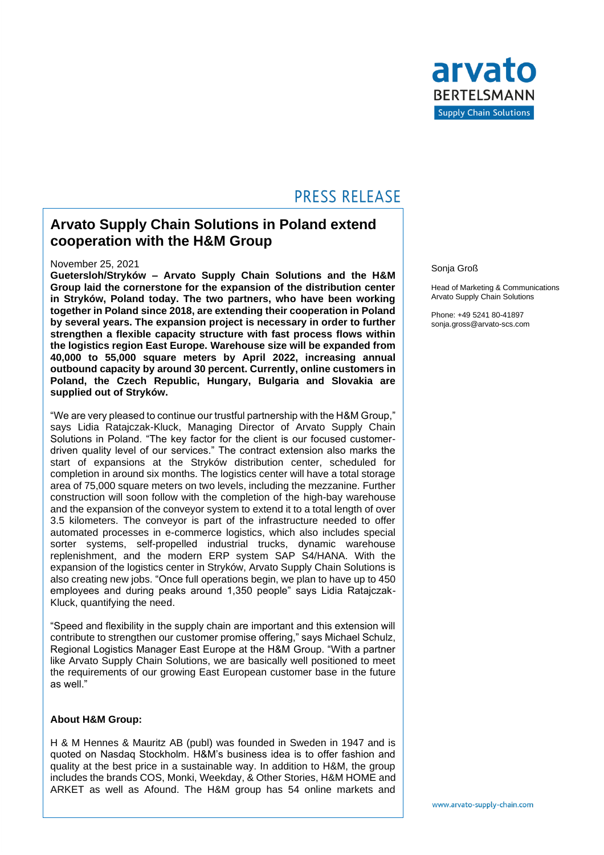

## **PRESS RELEASE**

### **Arvato Supply Chain Solutions in Poland extend cooperation with the H&M Group**

#### November 25, 2021

**Guetersloh/Stryków – Arvato Supply Chain Solutions and the H&M Group laid the cornerstone for the expansion of the distribution center in Stryków, Poland today. The two partners, who have been working together in Poland since 2018, are extending their cooperation in Poland by several years. The expansion project is necessary in order to further strengthen a flexible capacity structure with fast process flows within the logistics region East Europe. Warehouse size will be expanded from 40,000 to 55,000 square meters by April 2022, increasing annual outbound capacity by around 30 percent. Currently, online customers in Poland, the Czech Republic, Hungary, Bulgaria and Slovakia are supplied out of Stryków.**

"We are very pleased to continue our trustful partnership with the H&M Group," says Lidia Ratajczak-Kluck, Managing Director of Arvato Supply Chain Solutions in Poland. "The key factor for the client is our focused customerdriven quality level of our services." The contract extension also marks the start of expansions at the Stryków distribution center, scheduled for completion in around six months. The logistics center will have a total storage area of 75,000 square meters on two levels, including the mezzanine. Further construction will soon follow with the completion of the high-bay warehouse and the expansion of the conveyor system to extend it to a total length of over 3.5 kilometers. The conveyor is part of the infrastructure needed to offer automated processes in e-commerce logistics, which also includes special sorter systems, self-propelled industrial trucks, dynamic warehouse replenishment, and the modern ERP system SAP S4/HANA. With the expansion of the logistics center in Stryków, Arvato Supply Chain Solutions is also creating new jobs. "Once full operations begin, we plan to have up to 450 employees and during peaks around 1,350 people" says Lidia Ratajczak-Kluck, quantifying the need.

"Speed and flexibility in the supply chain are important and this extension will contribute to strengthen our customer promise offering," says Michael Schulz, Regional Logistics Manager East Europe at the H&M Group. "With a partner like Arvato Supply Chain Solutions, we are basically well positioned to meet the requirements of our growing East European customer base in the future as well."

#### **About H&M Group:**

H & M Hennes & Mauritz AB (publ) was founded in Sweden in 1947 and is quoted on Nasdaq Stockholm. H&M's business idea is to offer fashion and quality at the best price in a sustainable way. In addition to H&M, the group includes the brands COS, Monki, Weekday, & Other Stories, H&M HOME and ARKET as well as Afound. The H&M group has 54 online markets and

#### Sonja Groß

Head of Marketing & Communications Arvato Supply Chain Solutions

Phone: +49 5241 80-41897 sonja.gross@arvato-scs.com